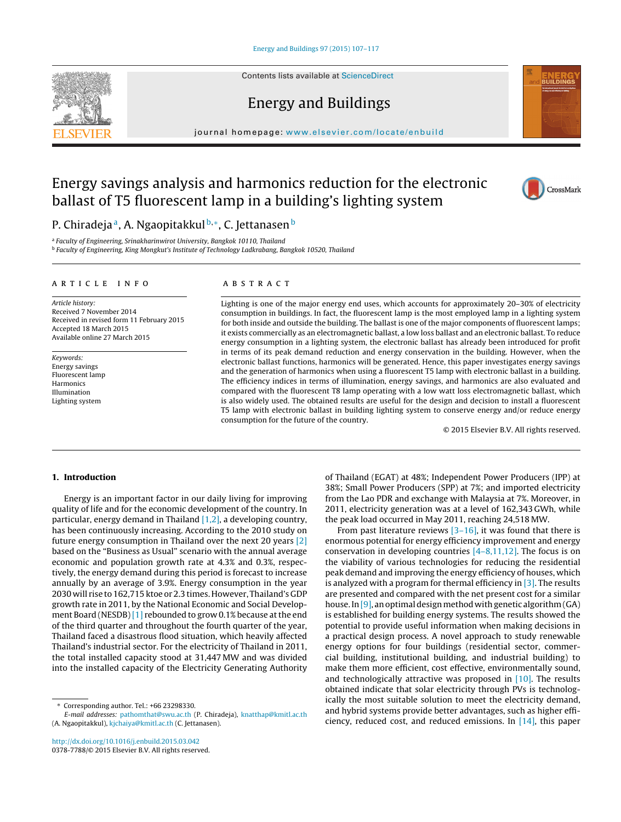Contents lists available at [ScienceDirect](http://www.sciencedirect.com/science/journal/03787788)

# Energy and Buildings

iournal homepage: [www.elsevier.com/locate/enbuild](http://www.elsevier.com/locate/enbuild)

# Energy savings analysis and harmonics reduction for the electronic ballast of T5 fluorescent lamp in a building's lighting system



<sup>a</sup> Faculty of Engineering, Srinakharinwirot University, Bangkok 10110, Thailand

<sup>b</sup> Faculty of Engineering, King Mongkut's Institute of Technology Ladkrabang, Bangkok 10520, Thailand

## a r t i c l e i n f o

Article history: Received 7 November 2014 Received in revised form 11 February 2015 Accepted 18 March 2015 Available online 27 March 2015

Keywords: Energy savings Fluorescent lamp Harmonics Illumination Lighting system

## A B S T R A C T

Lighting is one of the major energy end uses, which accounts for approximately 20–30% of electricity consumption in buildings. In fact, the fluorescent lamp is the most employed lamp in a lighting system for both inside and outside the building. The ballast is one of the major components of fluorescent lamps; it exists commercially as an electromagnetic ballast, a low loss ballast and an electronic ballast. To reduce energy consumption in a lighting system, the electronic ballast has already been introduced for profit in terms of its peak demand reduction and energy conservation in the building. However, when the electronic ballast functions, harmonics will be generated. Hence, this paper investigates energy savings and the generation of harmonics when using a fluorescent T5 lamp with electronic ballast in a building. The efficiency indices in terms of illumination, energy savings, and harmonics are also evaluated and compared with the fluorescent T8 lamp operating with a low watt loss electromagnetic ballast, which is also widely used. The obtained results are useful for the design and decision to install a fluorescent T5 lamp with electronic ballast in building lighting system to conserve energy and/or reduce energy consumption for the future of the country.

© 2015 Elsevier B.V. All rights reserved.

### **1. Introduction**

Energy is an important factor in our daily living for improving quality of life and for the economic development of the country. In particular, energy demand in Thailand  $[1,2]$ , a developing country, has been continuously increasing. According to the 2010 study on future energy consumption in Thailand over the next 20 years [\[2\]](#page--1-0) based on the "Business as Usual" scenario with the annual average economic and population growth rate at 4.3% and 0.3%, respectively, the energy demand during this period is forecast to increase annually by an average of 3.9%. Energy consumption in the year 2030 will rise to 162,715 ktoe or 2.3 times. However, Thailand's GDP growth rate in 2011, by the National Economic and Social Develop-ment Board (NESDB) [\[1\]](#page--1-0) rebounded to grow 0.1% because at the end of the third quarter and throughout the fourth quarter of the year, Thailand faced a disastrous flood situation, which heavily affected Thailand's industrial sector. For the electricity of Thailand in 2011, the total installed capacity stood at 31,447 MW and was divided into the installed capacity of the Electricity Generating Authority

of Thailand (EGAT) at 48%; Independent Power Producers (IPP) at 38%; Small Power Producers (SPP) at 7%; and imported electricity from the Lao PDR and exchange with Malaysia at 7%. Moreover, in 2011, electricity generation was at a level of 162,343 GWh, while the peak load occurred in May 2011, reaching 24,518 MW.

From past literature reviews  $[3-16]$ , it was found that there is enormous potential for energy efficiency improvement and energy conservation in developing countries [\[4–8,11,12\].](#page--1-0) The focus is on the viability of various technologies for reducing the residential peak demand and improving the energy efficiency of houses, which is analyzed with a program for thermal efficiency in  $[3]$ . The results are presented and compared with the net present cost for a similar house. In [\[9\],](#page--1-0) an optimal design method with genetic algorithm  $(GA)$ is established for building energy systems. The results showed the potential to provide useful information when making decisions in a practical design process. A novel approach to study renewable energy options for four buildings (residential sector, commercial building, institutional building, and industrial building) to make them more efficient, cost effective, environmentally sound, and technologically attractive was proposed in  $[10]$ . The results obtained indicate that solar electricity through PVs is technologically the most suitable solution to meet the electricity demand, and hybrid systems provide better advantages, such as higher efficiency, reduced cost, and reduced emissions. In [\[14\],](#page--1-0) this paper





<sup>∗</sup> Corresponding author. Tel.: +66 23298330.

E-mail addresses: [pathomthat@swu.ac.th](mailto:pathomthat@swu.ac.th) (P. Chiradeja), [knatthap@kmitl.ac.th](mailto:knatthap@kmitl.ac.th) (A. Ngaopitakkul), [kjchaiya@kmitl.ac.th](mailto:kjchaiya@kmitl.ac.th) (C. Jettanasen).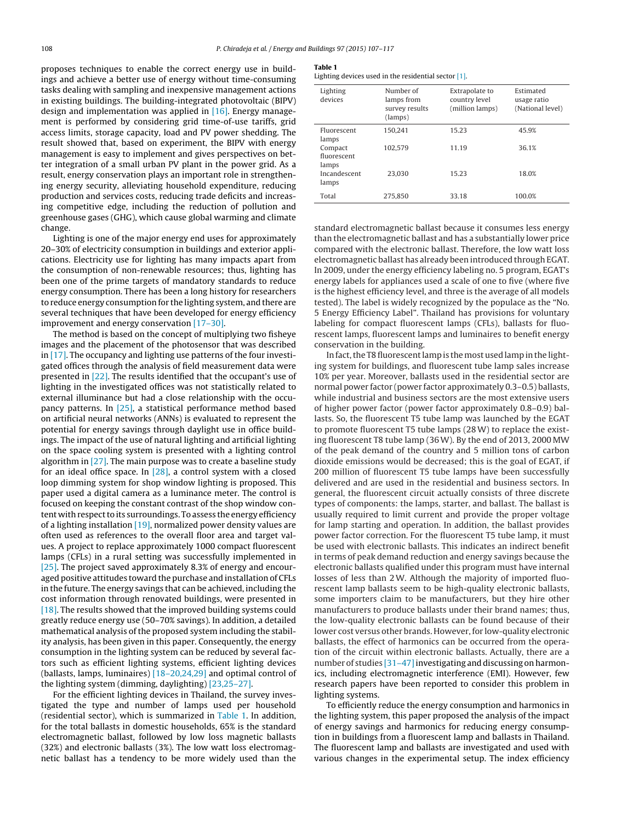proposes techniques to enable the correct energy use in buildings and achieve a better use of energy without time-consuming tasks dealing with sampling and inexpensive management actions in existing buildings. The building-integrated photovoltaic (BIPV) design and implementation was applied in  $[16]$ . Energy management is performed by considering grid time-of-use tariffs, grid access limits, storage capacity, load and PV power shedding. The result showed that, based on experiment, the BIPV with energy management is easy to implement and gives perspectives on better integration of a small urban PV plant in the power grid. As a result, energy conservation plays an important role in strengthening energy security, alleviating household expenditure, reducing production and services costs, reducing trade deficits and increasing competitive edge, including the reduction of pollution and greenhouse gases (GHG), which cause global warming and climate change.

Lighting is one of the major energy end uses for approximately 20–30% of electricity consumption in buildings and exterior applications. Electricity use for lighting has many impacts apart from the consumption of non-renewable resources; thus, lighting has been one of the prime targets of mandatory standards to reduce energy consumption. There has been a long history for researchers to reduce energy consumption for the lighting system, and there are several techniques that have been developed for energy efficiency improvement and energy conservation [\[17–30\].](#page--1-0)

The method is based on the concept of multiplying two fisheye images and the placement of the photosensor that was described in [\[17\].](#page--1-0) The occupancy and lighting use patterns of the four investigated offices through the analysis of field measurement data were presented in [\[22\].](#page--1-0) The results identified that the occupant's use of lighting in the investigated offices was not statistically related to external illuminance but had a close relationship with the occupancy patterns. In [\[25\],](#page--1-0) a statistical performance method based on artificial neural networks (ANNs) is evaluated to represent the potential for energy savings through daylight use in office buildings. The impact of the use of natural lighting and artificial lighting on the space cooling system is presented with a lighting control algorithm in [\[27\].](#page--1-0) The main purpose was to create a baseline study for an ideal office space. In  $[28]$ , a control system with a closed loop dimming system for shop window lighting is proposed. This paper used a digital camera as a luminance meter. The control is focused on keeping the constant contrast of the shop window content with respect to its surroundings. To assess the energy efficiency of a lighting installation  $[19]$ , normalized power density values are often used as references to the overall floor area and target values. A project to replace approximately 1000 compact fluorescent lamps (CFLs) in a rural setting was successfully implemented in [\[25\].](#page--1-0) The project saved approximately 8.3% of energy and encouraged positive attitudes toward the purchase and installation of CFLs in the future. The energy savings that can be achieved, including the cost information through renovated buildings, were presented in [\[18\].](#page--1-0) The results showed that the improved building systems could greatly reduce energy use (50–70% savings). In addition, a detailed mathematical analysis of the proposed system including the stability analysis, has been given in this paper. Consequently, the energy consumption in the lighting system can be reduced by several factors such as efficient lighting systems, efficient lighting devices (ballasts, lamps, luminaires) [\[18–20,24,29\]](#page--1-0) and optimal control of the lighting system (dimming, daylighting) [\[23,25–27\].](#page--1-0)

For the efficient lighting devices in Thailand, the survey investigated the type and number of lamps used per household (residential sector), which is summarized in Table 1. In addition, for the total ballasts in domestic households, 65% is the standard electromagnetic ballast, followed by low loss magnetic ballasts (32%) and electronic ballasts (3%). The low watt loss electromagnetic ballast has a tendency to be more widely used than the

#### **Table 1**

Lighting devices used in the residential sector [\[1\].](#page--1-0)

| Lighting<br>devices             | Number of<br>lamps from<br>survey results<br>(lamps) | Extrapolate to<br>country level<br>(million lamps) | Estimated<br>usage ratio<br>(National level) |
|---------------------------------|------------------------------------------------------|----------------------------------------------------|----------------------------------------------|
| Fluorescent<br>lamps            | 150.241                                              | 15.23                                              | 45.9%                                        |
| Compact<br>fluorescent<br>lamps | 102.579                                              | 11.19                                              | 36.1%                                        |
| Incandescent<br>lamps           | 23.030                                               | 15.23                                              | 18.0%                                        |
| Total                           | 275.850                                              | 33.18                                              | 100.0%                                       |

standard electromagnetic ballast because it consumes less energy than the electromagnetic ballast and has a substantially lower price compared with the electronic ballast. Therefore, the low watt loss electromagnetic ballast has already been introduced through EGAT. In 2009, under the energy efficiency labeling no. 5 program, EGAT's energy labels for appliances used a scale of one to five (where five is the highest efficiency level, and three is the average of all models tested). The label is widely recognized by the populace as the "No. 5 Energy Efficiency Label". Thailand has provisions for voluntary labeling for compact fluorescent lamps (CFLs), ballasts for fluorescent lamps, fluorescent lamps and luminaires to benefit energy conservation in the building.

In fact, the T8 fluorescent lamp is the most used lamp in the lighting system for buildings, and fluorescent tube lamp sales increase 10% per year. Moreover, ballasts used in the residential sector are normal power factor (power factor approximately 0.3–0.5) ballasts, while industrial and business sectors are the most extensive users of higher power factor (power factor approximately 0.8–0.9) ballasts. So, the fluorescent T5 tube lamp was launched by the EGAT to promote fluorescent T5 tube lamps (28W) to replace the existing fluorescent T8 tube lamp (36W). By the end of 2013, 2000 MW of the peak demand of the country and 5 million tons of carbon dioxide emissions would be decreased; this is the goal of EGAT, if 200 million of fluorescent T5 tube lamps have been successfully delivered and are used in the residential and business sectors. In general, the fluorescent circuit actually consists of three discrete types of components: the lamps, starter, and ballast. The ballast is usually required to limit current and provide the proper voltage for lamp starting and operation. In addition, the ballast provides power factor correction. For the fluorescent T5 tube lamp, it must be used with electronic ballasts. This indicates an indirect benefit in terms of peak demand reduction and energy savings because the electronic ballasts qualified under this program must have internal losses of less than 2W. Although the majority of imported fluorescent lamp ballasts seem to be high-quality electronic ballasts, some importers claim to be manufacturers, but they hire other manufacturers to produce ballasts under their brand names; thus, the low-quality electronic ballasts can be found because of their lower cost versus other brands. However, for low-quality electronic ballasts, the effect of harmonics can be occurred from the operation of the circuit within electronic ballasts. Actually, there are a number of studies [31–47] investigating and discussing on harmonics, including electromagnetic interference (EMI). However, few research papers have been reported to consider this problem in lighting systems.

To efficiently reduce the energy consumption and harmonics in the lighting system, this paper proposed the analysis of the impact of energy savings and harmonics for reducing energy consumption in buildings from a fluorescent lamp and ballasts in Thailand. The fluorescent lamp and ballasts are investigated and used with various changes in the experimental setup. The index efficiency